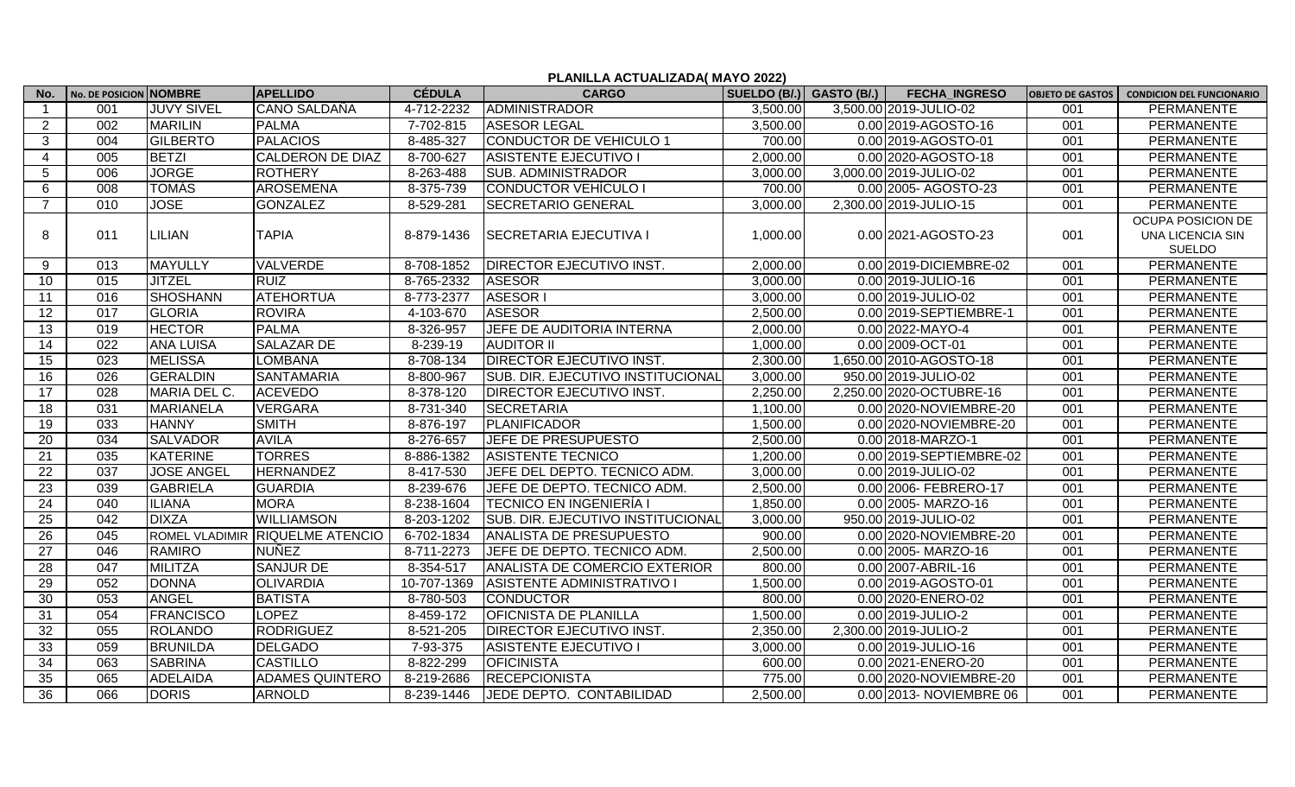## **PLANILLA ACTUALIZADA( MAYO 2022)**

| No.             | No. DE POSICION NOMBRE |                   | <b>APELLIDO</b>                 | <b>CÉDULA</b> | <b>CARGO</b>                      | SUELDO (B/.) GASTO (B/.) | <b>FECHA INGRESO</b>     | <b>OBJETO DE GASTOS</b> | <b>CONDICION DEL FUNCIONARIO</b>                              |
|-----------------|------------------------|-------------------|---------------------------------|---------------|-----------------------------------|--------------------------|--------------------------|-------------------------|---------------------------------------------------------------|
| $\mathbf 1$     | 001                    | <b>JUVY SIVEL</b> | <b>CANO SALDAÑA</b>             | 4-712-2232    | <b>ADMINISTRADOR</b>              | 3,500.00                 | 3,500.00 2019-JULIO-02   | 001                     | <b>PERMANENTE</b>                                             |
| $\overline{2}$  | 002                    | <b>MARILIN</b>    | <b>PALMA</b>                    | 7-702-815     | <b>ASESOR LEGAL</b>               | 3,500.00                 | 0.00 2019-AGOSTO-16      | 001                     | PERMANENTE                                                    |
| 3               | 004                    | <b>GILBERTO</b>   | <b>PALACIOS</b>                 | 8-485-327     | <b>CONDUCTOR DE VEHICULO 1</b>    | 700.00                   | 0.00 2019-AGOSTO-01      | 001                     | <b>PERMANENTE</b>                                             |
| 4               | 005                    | <b>BETZI</b>      | <b>CALDERON DE DIAZ</b>         | 8-700-627     | <b>ASISTENTE EJECUTIVO I</b>      | 2,000.00                 | 0.00 2020-AGOSTO-18      | 001                     | <b>PERMANENTE</b>                                             |
| 5               | 006                    | <b>JORGE</b>      | <b>ROTHERY</b>                  | 8-263-488     | <b>SUB. ADMINISTRADOR</b>         | 3,000.00                 | 3,000.00 2019-JULIO-02   | 001                     | <b>PERMANENTE</b>                                             |
| 6               | $\overline{008}$       | <b>TOMÁS</b>      | <b>AROSEMENA</b>                | 8-375-739     | <b>CONDUCTOR VEHÍCULO I</b>       | 700.00                   | 0.00 2005- AGOSTO-23     | 001                     | <b>PERMANENTE</b>                                             |
| $\overline{7}$  | 010                    | <b>JOSE</b>       | <b>GONZALEZ</b>                 | 8-529-281     | <b>SECRETARIO GENERAL</b>         | 3,000.00                 | 2,300.00 2019-JULIO-15   | 001                     | <b>PERMANENTE</b>                                             |
| 8               | 011                    | LILIAN            | <b>TAPIA</b>                    | 8-879-1436    | <b>SECRETARIA EJECUTIVA I</b>     | 1,000.00                 | 0.00 2021-AGOSTO-23      | 001                     | OCUPA POSICION DE<br><b>UNA LICENCIA SIN</b><br><b>SUELDO</b> |
| 9               | 013                    | <b>MAYULLY</b>    | <b>VALVERDE</b>                 | 8-708-1852    | DIRECTOR EJECUTIVO INST.          | 2,000.00                 | 0.00 2019-DICIEMBRE-02   | 001                     | PERMANENTE                                                    |
| 10 <sup>1</sup> | 015                    | <b>JITZEL</b>     | <b>RUIZ</b>                     | 8-765-2332    | <b>ASESOR</b>                     | 3,000.00                 | 0.00 2019-JULIO-16       | 001                     | PERMANENTE                                                    |
| 11              | 016                    | <b>SHOSHANN</b>   | <b>ATEHORTUA</b>                | 8-773-2377    | <b>ASESOR I</b>                   | 3,000.00                 | 0.00 2019-JULIO-02       | 001                     | PERMANENTE                                                    |
| 12              | 017                    | <b>GLORIA</b>     | <b>ROVIRA</b>                   | 4-103-670     | <b>ASESOR</b>                     | 2,500.00                 | 0.00 2019-SEPTIEMBRE-1   | 001                     | PERMANENTE                                                    |
| 13              | $\overline{019}$       | <b>HECTOR</b>     | <b>PALMA</b>                    | 8-326-957     | JEFE DE AUDITORIA INTERNA         | 2,000.00                 | 0.00 2022-MAYO-4         | 001                     | <b>PERMANENTE</b>                                             |
| 14              | 022                    | <b>ANA LUISA</b>  | <b>SALAZAR DE</b>               | 8-239-19      | <b>AUDITOR II</b>                 | 1,000.00                 | 0.00 2009 - OCT-01       | 001                     | PERMANENTE                                                    |
| 15              | 023                    | <b>MELISSA</b>    | <b>LOMBANA</b>                  | 8-708-134     | DIRECTOR EJECUTIVO INST.          | 2,300.00                 | 1,650.00 2010-AGOSTO-18  | 001                     | PERMANENTE                                                    |
| 16              | 026                    | <b>GERALDIN</b>   | <b>SANTAMARIA</b>               | 8-800-967     | SUB. DIR. EJECUTIVO INSTITUCIONAL | 3,000.00                 | 950.00 2019-JULIO-02     | 001                     | PERMANENTE                                                    |
| 17              | 028                    | MARIA DEL C.      | <b>ACEVEDO</b>                  | 8-378-120     | DIRECTOR EJECUTIVO INST.          | 2,250.00                 | 2,250.00 2020-OCTUBRE-16 | 001                     | PERMANENTE                                                    |
| 18              | 031                    | <b>MARIANELA</b>  | <b>VERGARA</b>                  | 8-731-340     | <b>SECRETARIA</b>                 | 1,100.00                 | 0.00 2020-NOVIEMBRE-20   | 001                     | PERMANENTE                                                    |
| 19              | $\overline{033}$       | <b>HANNY</b>      | <b>SMITH</b>                    | 8-876-197     | <b>PLANIFICADOR</b>               | 1,500.00                 | 0.00 2020-NOVIEMBRE-20   | 001                     | PERMANENTE                                                    |
| $\overline{20}$ | $\overline{034}$       | <b>SALVADOR</b>   | <b>AVILA</b>                    | 8-276-657     | JEFE DE PRESUPUESTO               | 2,500.00                 | 0.00 2018-MARZO-1        | 001                     | PERMANENTE                                                    |
| 21              | 035                    | <b>KATERINE</b>   | <b>TORRES</b>                   | 8-886-1382    | <b>ASISTENTE TECNICO</b>          | 1,200.00                 | 0.00 2019-SEPTIEMBRE-02  | 001                     | PERMANENTE                                                    |
| 22              | 037                    | <b>JOSE ANGEL</b> | <b>HERNANDEZ</b>                | 8-417-530     | JEFE DEL DEPTO. TECNICO ADM.      | 3,000.00                 | 0.00 2019-JULIO-02       | 001                     | <b>PERMANENTE</b>                                             |
| 23              | $\overline{039}$       | <b>GABRIELA</b>   | <b>GUARDIA</b>                  | 8-239-676     | JEFE DE DEPTO. TECNICO ADM.       | 2,500.00                 | 0.00 2006- FEBRERO-17    | 001                     | PERMANENTE                                                    |
| 24              | 040                    | <b>ILIANA</b>     | <b>MORA</b>                     | 8-238-1604    | <b>TECNICO EN INGENIERÍA I</b>    | 1,850.00                 | 0.00 2005- MARZO-16      | 001                     | PERMANENTE                                                    |
| 25              | 042                    | <b>DIXZA</b>      | <b>WILLIAMSON</b>               | 8-203-1202    | SUB. DIR. EJECUTIVO INSTITUCIONAL | 3,000.00                 | 950.00 2019-JULIO-02     | 001                     | PERMANENTE                                                    |
| 26              | 045                    |                   | ROMEL VLADIMIR RIQUELME ATENCIO | 6-702-1834    | <b>ANALISTA DE PRESUPUESTO</b>    | 900.00                   | 0.00 2020-NOVIEMBRE-20   | 001                     | PERMANENTE                                                    |
| 27              | 046                    | <b>RAMIRO</b>     | <b>NUÑEZ</b>                    | 8-711-2273    | JEFE DE DEPTO. TECNICO ADM.       | 2,500.00                 | 0.00 2005- MARZO-16      | 001                     | PERMANENTE                                                    |
| $\overline{28}$ | 047                    | <b>MILITZA</b>    | <b>SANJUR DE</b>                | 8-354-517     | ANALISTA DE COMERCIO EXTERIOR     | 800.00                   | 0.00 2007-ABRIL-16       | 001                     | PERMANENTE                                                    |
| 29              | 052                    | <b>DONNA</b>      | <b>OLIVARDIA</b>                | 10-707-1369   | <b>ASISTENTE ADMINISTRATIVO I</b> | 1,500.00                 | 0.00 2019-AGOSTO-01      | 001                     | <b>PERMANENTE</b>                                             |
| 30              | 053                    | <b>ANGEL</b>      | <b>BATISTA</b>                  | 8-780-503     | <b>CONDUCTOR</b>                  | 800.00                   | 0.00 2020-ENERO-02       | 001                     | <b>PERMANENTE</b>                                             |
| 31              | 054                    | <b>FRANCISCO</b>  | <b>LOPEZ</b>                    | 8-459-172     | <b>OFICNISTA DE PLANILLA</b>      | 1,500.00                 | 0.00 2019-JULIO-2        | 001                     | <b>PERMANENTE</b>                                             |
| 32              | 055                    | <b>ROLANDO</b>    | <b>RODRIGUEZ</b>                | 8-521-205     | DIRECTOR EJECUTIVO INST.          | 2,350.00                 | 2,300.00 2019-JULIO-2    | 001                     | <b>PERMANENTE</b>                                             |
| 33              | $\overline{059}$       | <b>BRUNILDA</b>   | <b>DELGADO</b>                  | 7-93-375      | <b>ASISTENTE EJECUTIVO I</b>      | 3,000.00                 | 0.00 2019-JULIO-16       | 001                     | <b>PERMANENTE</b>                                             |
| 34              | 063                    | <b>SABRINA</b>    | <b>CASTILLO</b>                 | 8-822-299     | <b>OFICINISTA</b>                 | 600.00                   | 0.00 2021-ENERO-20       | 001                     | PERMANENTE                                                    |
| 35              | 065                    | <b>ADELAIDA</b>   | <b>ADAMES QUINTERO</b>          | 8-219-2686    | <b>RECEPCIONISTA</b>              | 775.00                   | 0.00 2020-NOVIEMBRE-20   | 001                     | PERMANENTE                                                    |
| $\overline{36}$ | 066                    | <b>DORIS</b>      | <b>ARNOLD</b>                   | 8-239-1446    | JEDE DEPTO. CONTABILIDAD          | 2,500.00                 | 0.00 2013- NOVIEMBRE 06  | 001                     | PERMANENTE                                                    |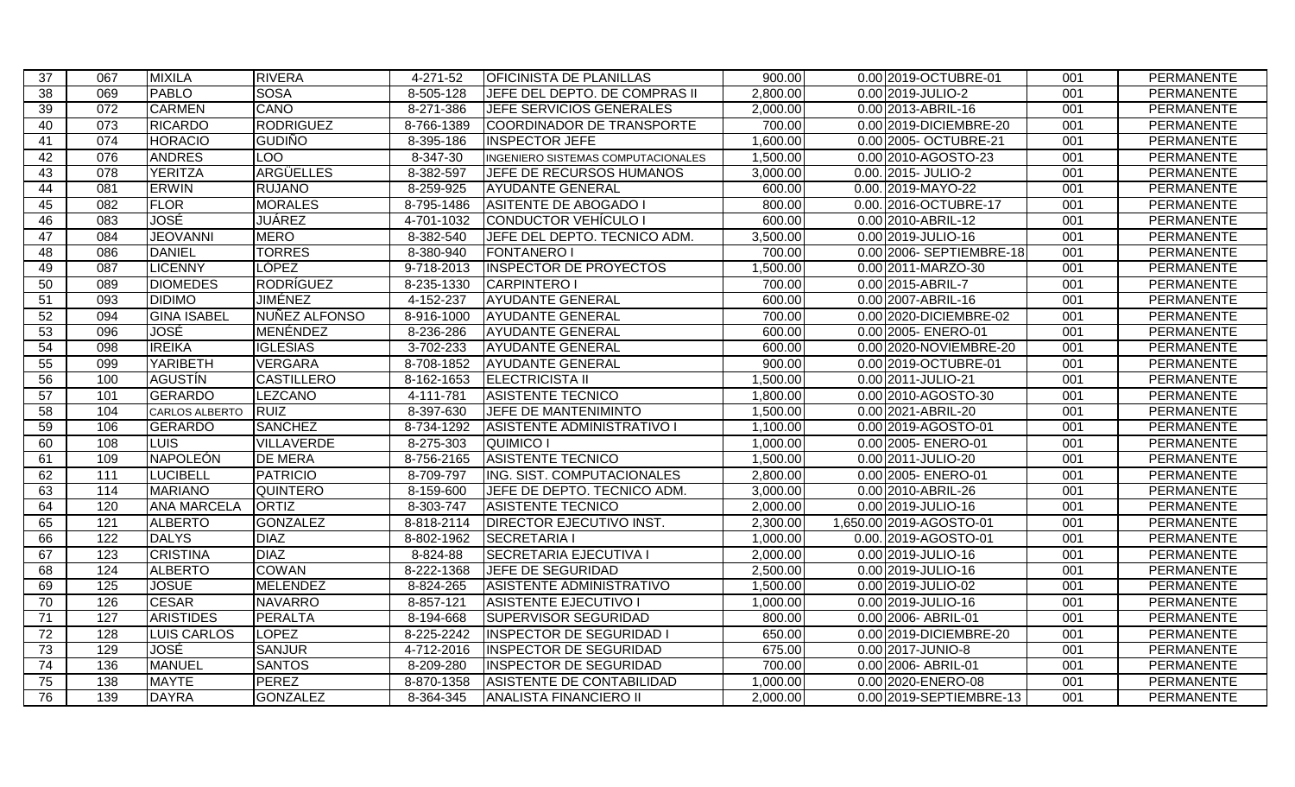| 37              | 067              | <b>MIXILA</b>         | <b>RIVERA</b>     | 4-271-52    | <b>OFICINISTA DE PLANILLAS</b>       | 900.00   | 0.00 2019-OCTUBRE-01     | 001 | PERMANENTE        |
|-----------------|------------------|-----------------------|-------------------|-------------|--------------------------------------|----------|--------------------------|-----|-------------------|
| $\overline{38}$ | 069              | <b>PABLO</b>          | <b>SOSA</b>       | $8-505-128$ | <b>JEFE DEL DEPTO. DE COMPRAS II</b> | 2,800.00 | 0.00 2019-JULIO-2        | 001 | PERMANENTE        |
| 39              | 072              | <b>CARMEN</b>         | CANO              | $8-271-386$ | <b>JEFE SERVICIOS GENERALES</b>      | 2,000.00 | 0.00 2013-ABRIL-16       | 001 | <b>PERMANENTE</b> |
| 40              | $\overline{073}$ | <b>RICARDO</b>        | <b>RODRIGUEZ</b>  | 8-766-1389  | COORDINADOR DE TRANSPORTE            | 700.00   | 0.00 2019-DICIEMBRE-20   | 001 | <b>PERMANENTE</b> |
| 41              | 074              | <b>HORACIO</b>        | <b>GUDIÑO</b>     | 8-395-186   | <b>INSPECTOR JEFE</b>                | 1,600.00 | 0.00 2005 - OCTUBRE-21   | 001 | <b>PERMANENTE</b> |
| 42              | $\overline{076}$ | <b>ANDRES</b>         | <b>LOO</b>        | 8-347-30    | INGENIERO SISTEMAS COMPUTACIONALES   | 1,500.00 | 0.00 2010-AGOSTO-23      | 001 | <b>PERMANENTE</b> |
| 43              | $\overline{078}$ | <b>YERITZA</b>        | ARGÜELLES         | 8-382-597   | JEFE DE RECURSOS HUMANOS             | 3,000.00 | 0.00. 2015- JULIO-2      | 001 | <b>PERMANENTE</b> |
| 44              | $\overline{081}$ | <b>ERWIN</b>          | <b>RUJANO</b>     | 8-259-925   | <b>AYUDANTE GENERAL</b>              | 600.00   | 0.00. 2019-MAYO-22       | 001 | <b>PERMANENTE</b> |
| 45              | $\overline{082}$ | <b>FLOR</b>           | <b>MORALES</b>    | 8-795-1486  | <b>ASITENTE DE ABOGADO I</b>         | 800.00   | 0.00. 2016-OCTUBRE-17    | 001 | <b>PERMANENTE</b> |
| 46              | 083              | <b>JOSÉ</b>           | <b>JUÁREZ</b>     | 4-701-1032  | CONDUCTOR VEHÍCULO I                 | 600.00   | 0.00 2010-ABRIL-12       | 001 | PERMANENTE        |
| 47              | 084              | <b>JEOVANNI</b>       | <b>MERO</b>       | 8-382-540   | JEFE DEL DEPTO. TECNICO ADM.         | 3,500.00 | 0.00 2019-JULIO-16       | 001 | <b>PERMANENTE</b> |
| 48              | 086              | <b>DANIEL</b>         | <b>TORRES</b>     | 8-380-940   | <b>FONTANERO I</b>                   | 700.00   | 0.00 2006- SEPTIEMBRE-18 | 001 | PERMANENTE        |
| 49              | 087              | <b>LICENNY</b>        | <b>LÓPEZ</b>      | 9-718-2013  | <b>INSPECTOR DE PROYECTOS</b>        | 1,500.00 | 0.00 2011-MARZO-30       | 001 | PERMANENTE        |
| 50              | 089              | <b>DIOMEDES</b>       | <b>RODRÍGUEZ</b>  | 8-235-1330  | CARPINTERO I                         | 700.00   | 0.00 2015-ABRIL-7        | 001 | <b>PERMANENTE</b> |
| 51              | $\overline{093}$ | <b>DIDIMO</b>         | JIMÉNEZ           | 4-152-237   | <b>AYUDANTE GENERAL</b>              | 600.00   | 0.00 2007-ABRIL-16       | 001 | PERMANENTE        |
| 52              | 094              | <b>GINA ISABEL</b>    | NUÑEZ ALFONSO     | 8-916-1000  | <b>AYUDANTE GENERAL</b>              | 700.00   | 0.00 2020-DICIEMBRE-02   | 001 | PERMANENTE        |
| 53              | 096              | JOSÉ                  | MENÉNDEZ          | 8-236-286   | <b>AYUDANTE GENERAL</b>              | 600.00   | 0.00 2005- ENERO-01      | 001 | PERMANENTE        |
| 54              | 098              | <b>IREIKA</b>         | <b>IGLESIAS</b>   | 3-702-233   | <b>AYUDANTE GENERAL</b>              | 600.00   | 0.00 2020-NOVIEMBRE-20   | 001 | PERMANENTE        |
| $\overline{55}$ | 099              | YARIBETH              | <b>VERGARA</b>    | 8-708-1852  | <b>AYUDANTE GENERAL</b>              | 900.00   | 0.00 2019-OCTUBRE-01     | 001 | PERMANENTE        |
| 56              | 100              | <b>AGUSTÍN</b>        | <b>CASTILLERO</b> | 8-162-1653  | <b>ELECTRICISTA II</b>               | 1,500.00 | 0.00 2011-JULIO-21       | 001 | PERMANENTE        |
| 57              | 101              | <b>GERARDO</b>        | LEZCANO           | 4-111-781   | <b>ASISTENTE TECNICO</b>             | 1,800.00 | 0.00 2010-AGOSTO-30      | 001 | PERMANENTE        |
| 58              | 104              | <b>CARLOS ALBERTO</b> | <b>RUIZ</b>       | 8-397-630   | <b>JEFE DE MANTENIMINTO</b>          | 1,500.00 | 0.00 2021-ABRIL-20       | 001 | <b>PERMANENTE</b> |
| 59              | 106              | GERARDO               | <b>SANCHEZ</b>    | 8-734-1292  | ASISTENTE ADMINISTRATIVO I           | 1,100.00 | 0.00 2019-AGOSTO-01      | 001 | PERMANENTE        |
| 60              | 108              | LUIS                  | <b>VILLAVERDE</b> | 8-275-303   | QUIMICO I                            | 1,000.00 | 0.00 2005 - ENERO-01     | 001 | PERMANENTE        |
| 61              | 109              | NAPOLEÓN              | <b>DE MERA</b>    | 8-756-2165  | <b>ASISTENTE TECNICO</b>             | 1,500.00 | 0.00 2011-JULIO-20       | 001 | PERMANENTE        |
| 62              | $\overline{111}$ | <b>LUCIBELL</b>       | <b>PATRICIO</b>   | 8-709-797   | ING. SIST. COMPUTACIONALES           | 2,800.00 | 0.00 2005- ENERO-01      | 001 | PERMANENTE        |
| 63              | 114              | <b>MARIANO</b>        | <b>QUINTERO</b>   | 8-159-600   | JEFE DE DEPTO. TECNICO ADM.          | 3,000.00 | 0.00 2010-ABRIL-26       | 001 | PERMANENTE        |
| 64              | 120              | <b>ANA MARCELA</b>    | <b>ORTIZ</b>      | 8-303-747   | <b>ASISTENTE TECNICO</b>             | 2,000.00 | 0.00 2019-JULIO-16       | 001 | PERMANENTE        |
| 65              | 121              | <b>ALBERTO</b>        | <b>GONZALEZ</b>   | 8-818-2114  | <b>DIRECTOR EJECUTIVO INST.</b>      | 2,300.00 | 1,650.00 2019-AGOSTO-01  | 001 | PERMANENTE        |
| 66              | $\overline{122}$ | <b>DALYS</b>          | <b>DIAZ</b>       | 8-802-1962  | <b>SECRETARIA I</b>                  | 1,000.00 | 0.00. 2019-AGOSTO-01     | 001 | PERMANENTE        |
| 67              | 123              | <b>CRISTINA</b>       | <b>DIAZ</b>       | 8-824-88    | SECRETARIA EJECUTIVA I               | 2,000.00 | 0.00 2019-JULIO-16       | 001 | PERMANENTE        |
| 68              | 124              | <b>ALBERTO</b>        | <b>COWAN</b>      | 8-222-1368  | <b>JEFE DE SEGURIDAD</b>             | 2,500.00 | 0.00 2019-JULIO-16       | 001 | PERMANENTE        |
| 69              | 125              | <b>JOSUE</b>          | <b>MELENDEZ</b>   | 8-824-265   | <b>ASISTENTE ADMINISTRATIVO</b>      | 1,500.00 | 0.00 2019-JULIO-02       | 001 | PERMANENTE        |
| 70              | 126              | <b>CESAR</b>          | <b>NAVARRO</b>    | 8-857-121   | <b>ASISTENTE EJECUTIVO I</b>         | 1,000.00 | 0.00 2019-JULIO-16       | 001 | PERMANENTE        |
| $\overline{71}$ | 127              | <b>ARISTIDES</b>      | <b>PERALTA</b>    | 8-194-668   | <b>SUPERVISOR SEGURIDAD</b>          | 800.00   | 0.00 2006- ABRIL-01      | 001 | <b>PERMANENTE</b> |
| 72              | $\overline{128}$ | <b>LUIS CARLOS</b>    | <b>LOPEZ</b>      | 8-225-2242  | <b>INSPECTOR DE SEGURIDAD I</b>      | 650.00   | 0.00 2019-DICIEMBRE-20   | 001 | <b>PERMANENTE</b> |
| $\overline{73}$ | 129              | JOSÉ                  | <b>SANJUR</b>     | 4-712-2016  | <b>INSPECTOR DE SEGURIDAD</b>        | 675.00   | 0.00 2017-JUNIO-8        | 001 | <b>PERMANENTE</b> |
| $\overline{74}$ | 136              | <b>MANUEL</b>         | <b>SANTOS</b>     | 8-209-280   | <b>INSPECTOR DE SEGURIDAD</b>        | 700.00   | 0.00 2006- ABRIL-01      | 001 | <b>PERMANENTE</b> |
| 75              | 138              | <b>MAYTE</b>          | <b>PEREZ</b>      | 8-870-1358  | ASISTENTE DE CONTABILIDAD            | 1,000.00 | 0.00 2020-ENERO-08       | 001 | <b>PERMANENTE</b> |
| 76              | 139              | <b>DAYRA</b>          | <b>GONZALEZ</b>   | 8-364-345   | <b>ANALISTA FINANCIERO II</b>        | 2,000.00 | 0.00 2019-SEPTIEMBRE-13  | 001 | PERMANENTE        |